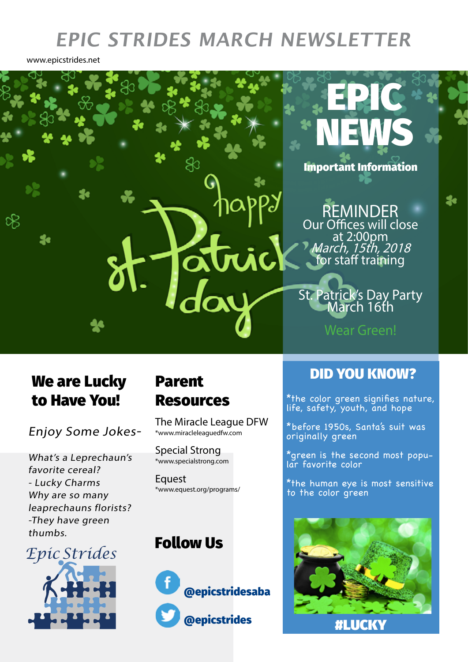## **EPIC STRIDES MARCH NEWSLETTER**

www.epicstrides.net



## We are Lucky to Have You!

Enjoy Some Jokes-

What's a Leprechaun's favorite cereal? - Lucky Charms Why are so many leaprechauns florists? -They have green thumbs.

 *Epic Strides*

# Resources

The Miracle League DFW \*www.miracleleaguedfw.com

Special Strong \*www.specialstrong.com

Equest \*www.equest.org/programs/

### Follow Us



## DID YOU KNOW? Parent

\*the color green signifies nature, life, safety, youth, and hope

\*before 1950s, Santa's suit was originally green

\*green is the second most popular favorite color

\*the human eye is most sensitive to the color green